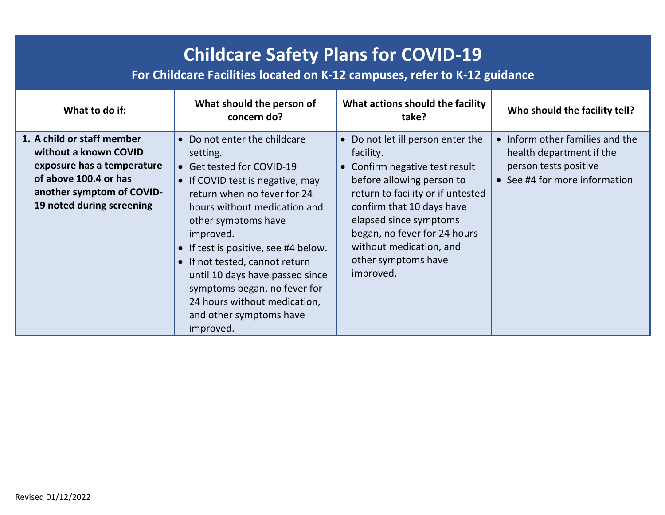| <b>Childcare Safety Plans for COVID-19</b><br>For Childcare Facilities located on K-12 campuses, refer to K-12 guidance                                              |                                                                                                                                                                                                                                                                                                                                                                                                                                                       |                                                                                                                                                                                                                                                                                                          |                                                                                                                       |
|----------------------------------------------------------------------------------------------------------------------------------------------------------------------|-------------------------------------------------------------------------------------------------------------------------------------------------------------------------------------------------------------------------------------------------------------------------------------------------------------------------------------------------------------------------------------------------------------------------------------------------------|----------------------------------------------------------------------------------------------------------------------------------------------------------------------------------------------------------------------------------------------------------------------------------------------------------|-----------------------------------------------------------------------------------------------------------------------|
| What to do if:                                                                                                                                                       | What should the person of<br>concern do?                                                                                                                                                                                                                                                                                                                                                                                                              | What actions should the facility<br>take?                                                                                                                                                                                                                                                                | Who should the facility tell?                                                                                         |
| 1. A child or staff member<br>without a known COVID<br>exposure has a temperature<br>of above 100.4 or has<br>another symptom of COVID-<br>19 noted during screening | Do not enter the childcare<br>$\bullet$<br>setting.<br>• Get tested for COVID-19<br>• If COVID test is negative, may<br>return when no fever for 24<br>hours without medication and<br>other symptoms have<br>improved.<br>If test is positive, see #4 below.<br>$\bullet$<br>If not tested, cannot return<br>$\bullet$<br>until 10 days have passed since<br>symptoms began, no fever for<br>24 hours without medication,<br>and other symptoms have | • Do not let ill person enter the<br>facility.<br>• Confirm negative test result<br>before allowing person to<br>return to facility or if untested<br>confirm that 10 days have<br>elapsed since symptoms<br>began, no fever for 24 hours<br>without medication, and<br>other symptoms have<br>improved. | • Inform other families and the<br>health department if the<br>person tests positive<br>• See #4 for more information |

improved.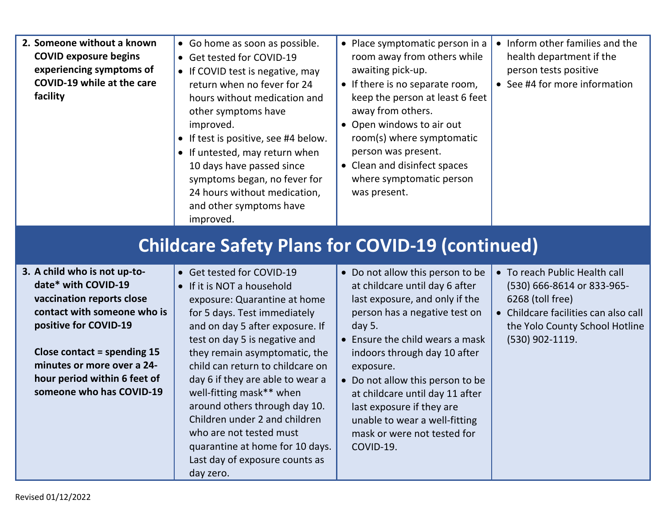| 2. Someone without a known<br><b>COVID exposure begins</b><br>experiencing symptoms of<br><b>COVID-19 while at the care</b><br>facility                                                                                                 | • Go home as soon as possible.<br>• Get tested for COVID-19<br>• If COVID test is negative, may<br>return when no fever for 24<br>hours without medication and<br>other symptoms have<br>improved.<br>• If test is positive, see #4 below.<br>• If untested, may return when<br>10 days have passed since<br>symptoms began, no fever for<br>24 hours without medication,<br>and other symptoms have<br>improved. | • Place symptomatic person in a<br>room away from others while<br>awaiting pick-up.<br>• If there is no separate room,<br>keep the person at least 6 feet<br>away from others.<br>• Open windows to air out<br>room(s) where symptomatic<br>person was present.<br>• Clean and disinfect spaces<br>where symptomatic person<br>was present. | • Inform other families and the<br>health department if the<br>person tests positive<br>• See #4 for more information                                                        |
|-----------------------------------------------------------------------------------------------------------------------------------------------------------------------------------------------------------------------------------------|-------------------------------------------------------------------------------------------------------------------------------------------------------------------------------------------------------------------------------------------------------------------------------------------------------------------------------------------------------------------------------------------------------------------|---------------------------------------------------------------------------------------------------------------------------------------------------------------------------------------------------------------------------------------------------------------------------------------------------------------------------------------------|------------------------------------------------------------------------------------------------------------------------------------------------------------------------------|
| <b>Childcare Safety Plans for COVID-19 (continued)</b>                                                                                                                                                                                  |                                                                                                                                                                                                                                                                                                                                                                                                                   |                                                                                                                                                                                                                                                                                                                                             |                                                                                                                                                                              |
| 3. A child who is not up-to-<br>date* with COVID-19<br>vaccination reports close<br>contact with someone who is<br>positive for COVID-19<br>Close contact = spending $15$<br>minutes or more over a 24-<br>hour period within 6 feet of | • Get tested for COVID-19<br>• If it is NOT a household<br>exposure: Quarantine at home<br>for 5 days. Test immediately<br>and on day 5 after exposure. If<br>test on day 5 is negative and<br>they remain asymptomatic, the<br>child can return to childcare on<br>day 6 if they are able to wear a                                                                                                              | • Do not allow this person to be<br>at childcare until day 6 after<br>last exposure, and only if the<br>person has a negative test on<br>day 5.<br>• Ensure the child wears a mask<br>indoors through day 10 after<br>exposure.<br>Do not allow this person to be                                                                           | • To reach Public Health call<br>(530) 666-8614 or 833-965-<br>6268 (toll free)<br>• Childcare facilities can also call<br>the Yolo County School Hotline<br>(530) 902-1119. |

• Do not allow this person to be at childcare until day 11 after

last exposure if they are unable to wear a well-fitting mask or were not tested for

COVID-19.

well-fitting mask\*\* when

who are not tested must

day zero.

around others through day 10. Children under 2 and children

quarantine at home for 10 days. Last day of exposure counts as

**hour period within 6 feet of someone who has COVID-19**

Revised 01/12/2022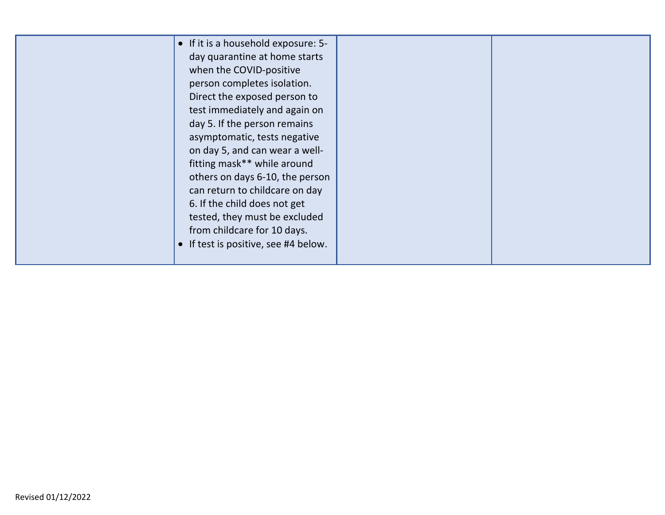| • If it is a household exposure: 5-<br>day quarantine at home starts<br>when the COVID-positive<br>person completes isolation.<br>Direct the exposed person to<br>test immediately and again on<br>day 5. If the person remains<br>asymptomatic, tests negative<br>on day 5, and can wear a well-<br>fitting mask** while around<br>others on days 6-10, the person<br>can return to childcare on day<br>6. If the child does not get<br>tested, they must be excluded<br>from childcare for 10 days.<br>If test is positive, see #4 below. |  |
|---------------------------------------------------------------------------------------------------------------------------------------------------------------------------------------------------------------------------------------------------------------------------------------------------------------------------------------------------------------------------------------------------------------------------------------------------------------------------------------------------------------------------------------------|--|
|---------------------------------------------------------------------------------------------------------------------------------------------------------------------------------------------------------------------------------------------------------------------------------------------------------------------------------------------------------------------------------------------------------------------------------------------------------------------------------------------------------------------------------------------|--|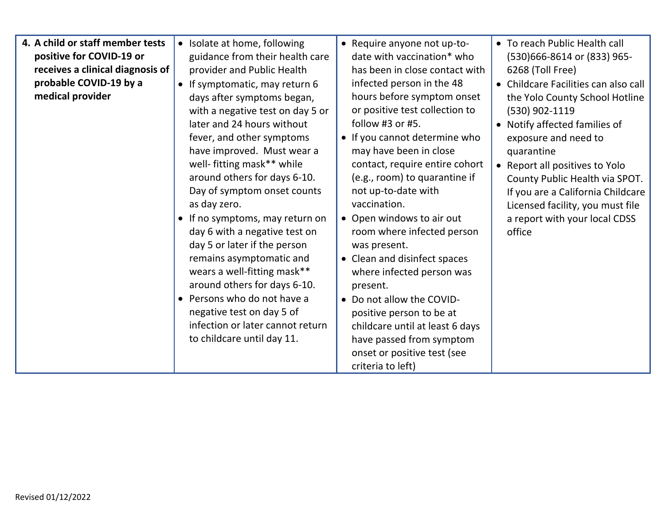| 4. A child or staff member tests<br>positive for COVID-19 or<br>receives a clinical diagnosis of<br>probable COVID-19 by a<br>medical provider | • Isolate at home, following<br>guidance from their health care<br>provider and Public Health<br>• If symptomatic, may return 6<br>days after symptoms began,<br>with a negative test on day 5 or<br>later and 24 hours without<br>fever, and other symptoms<br>have improved. Must wear a<br>well- fitting mask** while<br>around others for days 6-10.<br>Day of symptom onset counts<br>as day zero.<br>• If no symptoms, may return on<br>day 6 with a negative test on<br>day 5 or later if the person<br>remains asymptomatic and<br>wears a well-fitting mask**<br>around others for days 6-10.<br>• Persons who do not have a<br>negative test on day 5 of<br>infection or later cannot return<br>to childcare until day 11. | • Require anyone not up-to-<br>date with vaccination* who<br>has been in close contact with<br>infected person in the 48<br>hours before symptom onset<br>or positive test collection to<br>follow #3 or #5.<br>• If you cannot determine who<br>may have been in close<br>contact, require entire cohort<br>(e.g., room) to quarantine if<br>not up-to-date with<br>vaccination.<br>• Open windows to air out<br>room where infected person<br>was present.<br>• Clean and disinfect spaces<br>where infected person was<br>present.<br>• Do not allow the COVID-<br>positive person to be at<br>childcare until at least 6 days<br>have passed from symptom | • To reach Public Health call<br>(530)666-8614 or (833) 965-<br>6268 (Toll Free)<br>• Childcare Facilities can also call<br>the Yolo County School Hotline<br>(530) 902-1119<br>• Notify affected families of<br>exposure and need to<br>quarantine<br>• Report all positives to Yolo<br>County Public Health via SPOT.<br>If you are a California Childcare<br>Licensed facility, you must file<br>a report with your local CDSS<br>office |
|------------------------------------------------------------------------------------------------------------------------------------------------|--------------------------------------------------------------------------------------------------------------------------------------------------------------------------------------------------------------------------------------------------------------------------------------------------------------------------------------------------------------------------------------------------------------------------------------------------------------------------------------------------------------------------------------------------------------------------------------------------------------------------------------------------------------------------------------------------------------------------------------|---------------------------------------------------------------------------------------------------------------------------------------------------------------------------------------------------------------------------------------------------------------------------------------------------------------------------------------------------------------------------------------------------------------------------------------------------------------------------------------------------------------------------------------------------------------------------------------------------------------------------------------------------------------|---------------------------------------------------------------------------------------------------------------------------------------------------------------------------------------------------------------------------------------------------------------------------------------------------------------------------------------------------------------------------------------------------------------------------------------------|
|                                                                                                                                                |                                                                                                                                                                                                                                                                                                                                                                                                                                                                                                                                                                                                                                                                                                                                      | onset or positive test (see                                                                                                                                                                                                                                                                                                                                                                                                                                                                                                                                                                                                                                   |                                                                                                                                                                                                                                                                                                                                                                                                                                             |
|                                                                                                                                                |                                                                                                                                                                                                                                                                                                                                                                                                                                                                                                                                                                                                                                                                                                                                      | criteria to left)                                                                                                                                                                                                                                                                                                                                                                                                                                                                                                                                                                                                                                             |                                                                                                                                                                                                                                                                                                                                                                                                                                             |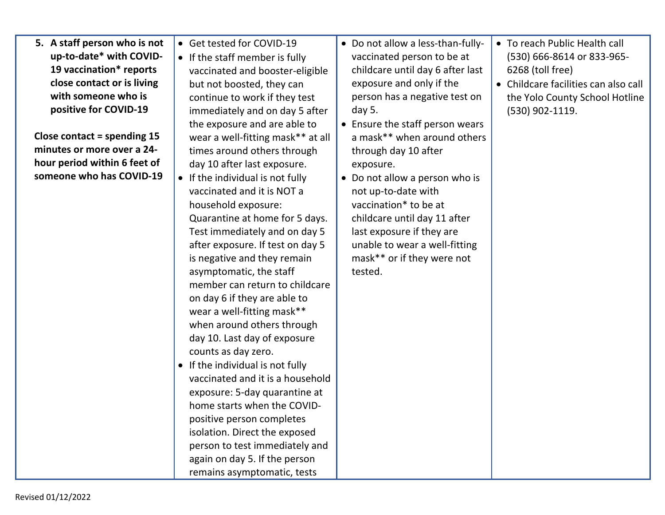| 5. A staff person who is not<br>up-to-date* with COVID-<br>19 vaccination* reports<br>close contact or is living<br>with someone who is<br>positive for COVID-19<br>Close contact = spending $15$<br>minutes or more over a 24-<br>hour period within 6 feet of<br>someone who has COVID-19 | • Get tested for COVID-19<br>• If the staff member is fully<br>vaccinated and booster-eligible<br>but not boosted, they can<br>continue to work if they test<br>immediately and on day 5 after<br>the exposure and are able to<br>wear a well-fitting mask** at all<br>times around others through<br>day 10 after last exposure.<br>• If the individual is not fully<br>vaccinated and it is NOT a<br>household exposure:<br>Quarantine at home for 5 days.<br>Test immediately and on day 5<br>after exposure. If test on day 5<br>is negative and they remain<br>asymptomatic, the staff<br>member can return to childcare<br>on day 6 if they are able to<br>wear a well-fitting mask**<br>when around others through<br>day 10. Last day of exposure<br>counts as day zero.<br>• If the individual is not fully<br>vaccinated and it is a household<br>exposure: 5-day quarantine at<br>home starts when the COVID-<br>positive person completes | • Do not allow a less-than-fully-<br>vaccinated person to be at<br>childcare until day 6 after last<br>exposure and only if the<br>person has a negative test on<br>day 5.<br>• Ensure the staff person wears<br>a mask** when around others<br>through day 10 after<br>exposure.<br>• Do not allow a person who is<br>not up-to-date with<br>vaccination* to be at<br>childcare until day 11 after<br>last exposure if they are<br>unable to wear a well-fitting<br>mask** or if they were not<br>tested. | • To reach Public Health call<br>(530) 666-8614 or 833-965-<br>6268 (toll free)<br>• Childcare facilities can also call<br>the Yolo County School Hotline<br>$(530)$ 902-1119. |
|---------------------------------------------------------------------------------------------------------------------------------------------------------------------------------------------------------------------------------------------------------------------------------------------|-------------------------------------------------------------------------------------------------------------------------------------------------------------------------------------------------------------------------------------------------------------------------------------------------------------------------------------------------------------------------------------------------------------------------------------------------------------------------------------------------------------------------------------------------------------------------------------------------------------------------------------------------------------------------------------------------------------------------------------------------------------------------------------------------------------------------------------------------------------------------------------------------------------------------------------------------------|------------------------------------------------------------------------------------------------------------------------------------------------------------------------------------------------------------------------------------------------------------------------------------------------------------------------------------------------------------------------------------------------------------------------------------------------------------------------------------------------------------|--------------------------------------------------------------------------------------------------------------------------------------------------------------------------------|
|                                                                                                                                                                                                                                                                                             | isolation. Direct the exposed<br>person to test immediately and<br>again on day 5. If the person                                                                                                                                                                                                                                                                                                                                                                                                                                                                                                                                                                                                                                                                                                                                                                                                                                                      |                                                                                                                                                                                                                                                                                                                                                                                                                                                                                                            |                                                                                                                                                                                |
|                                                                                                                                                                                                                                                                                             | remains asymptomatic, tests                                                                                                                                                                                                                                                                                                                                                                                                                                                                                                                                                                                                                                                                                                                                                                                                                                                                                                                           |                                                                                                                                                                                                                                                                                                                                                                                                                                                                                                            |                                                                                                                                                                                |